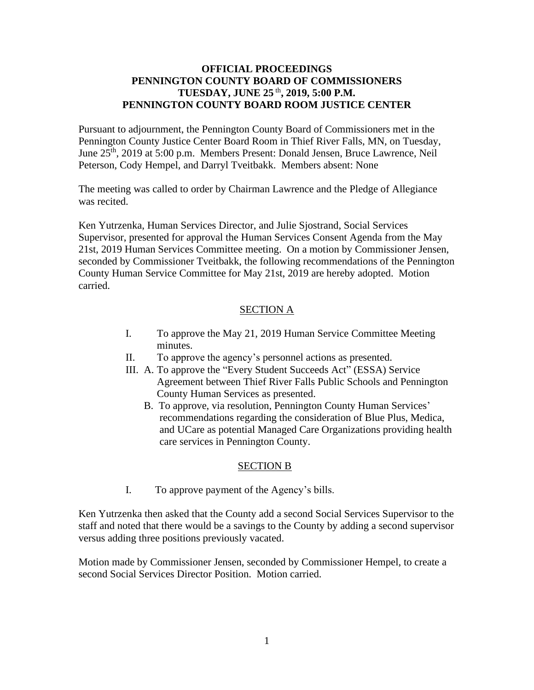## **OFFICIAL PROCEEDINGS PENNINGTON COUNTY BOARD OF COMMISSIONERS TUESDAY, JUNE 25** th **, 2019, 5:00 P.M. PENNINGTON COUNTY BOARD ROOM JUSTICE CENTER**

Pursuant to adjournment, the Pennington County Board of Commissioners met in the Pennington County Justice Center Board Room in Thief River Falls, MN, on Tuesday, June 25<sup>th</sup>, 2019 at 5:00 p.m. Members Present: Donald Jensen, Bruce Lawrence, Neil Peterson, Cody Hempel, and Darryl Tveitbakk. Members absent: None

The meeting was called to order by Chairman Lawrence and the Pledge of Allegiance was recited.

Ken Yutrzenka, Human Services Director, and Julie Sjostrand, Social Services Supervisor, presented for approval the Human Services Consent Agenda from the May 21st, 2019 Human Services Committee meeting. On a motion by Commissioner Jensen, seconded by Commissioner Tveitbakk, the following recommendations of the Pennington County Human Service Committee for May 21st, 2019 are hereby adopted. Motion carried.

## SECTION A

- I. To approve the May 21, 2019 Human Service Committee Meeting minutes.
- II. To approve the agency's personnel actions as presented.
- III. A. To approve the "Every Student Succeeds Act" (ESSA) Service Agreement between Thief River Falls Public Schools and Pennington County Human Services as presented.
	- B. To approve, via resolution, Pennington County Human Services' recommendations regarding the consideration of Blue Plus, Medica, and UCare as potential Managed Care Organizations providing health care services in Pennington County.

## SECTION B

I. To approve payment of the Agency's bills.

Ken Yutrzenka then asked that the County add a second Social Services Supervisor to the staff and noted that there would be a savings to the County by adding a second supervisor versus adding three positions previously vacated.

Motion made by Commissioner Jensen, seconded by Commissioner Hempel, to create a second Social Services Director Position. Motion carried.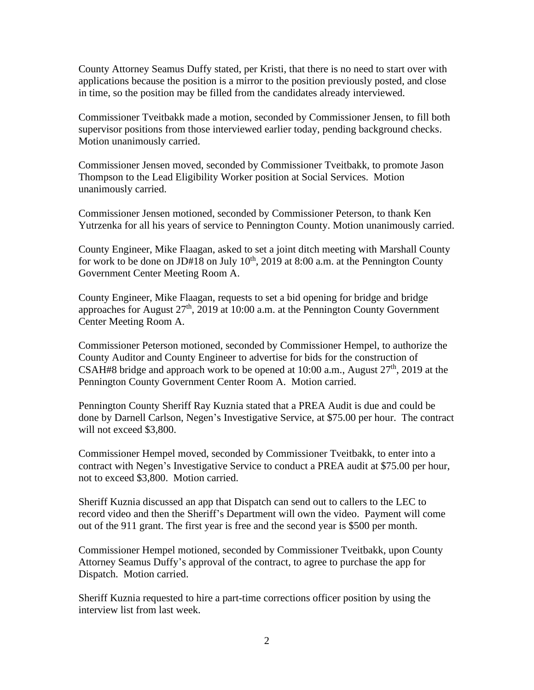County Attorney Seamus Duffy stated, per Kristi, that there is no need to start over with applications because the position is a mirror to the position previously posted, and close in time, so the position may be filled from the candidates already interviewed.

Commissioner Tveitbakk made a motion, seconded by Commissioner Jensen, to fill both supervisor positions from those interviewed earlier today, pending background checks. Motion unanimously carried.

Commissioner Jensen moved, seconded by Commissioner Tveitbakk, to promote Jason Thompson to the Lead Eligibility Worker position at Social Services. Motion unanimously carried.

Commissioner Jensen motioned, seconded by Commissioner Peterson, to thank Ken Yutrzenka for all his years of service to Pennington County. Motion unanimously carried.

County Engineer, Mike Flaagan, asked to set a joint ditch meeting with Marshall County for work to be done on JD#18 on July  $10^{th}$ , 2019 at 8:00 a.m. at the Pennington County Government Center Meeting Room A.

County Engineer, Mike Flaagan, requests to set a bid opening for bridge and bridge approaches for August  $27<sup>th</sup>$ , 2019 at 10:00 a.m. at the Pennington County Government Center Meeting Room A.

Commissioner Peterson motioned, seconded by Commissioner Hempel, to authorize the County Auditor and County Engineer to advertise for bids for the construction of CSAH#8 bridge and approach work to be opened at  $10:00$  a.m., August  $27<sup>th</sup>$ ,  $2019$  at the Pennington County Government Center Room A. Motion carried.

Pennington County Sheriff Ray Kuznia stated that a PREA Audit is due and could be done by Darnell Carlson, Negen's Investigative Service, at \$75.00 per hour. The contract will not exceed \$3,800.

Commissioner Hempel moved, seconded by Commissioner Tveitbakk, to enter into a contract with Negen's Investigative Service to conduct a PREA audit at \$75.00 per hour, not to exceed \$3,800. Motion carried.

Sheriff Kuznia discussed an app that Dispatch can send out to callers to the LEC to record video and then the Sheriff's Department will own the video. Payment will come out of the 911 grant. The first year is free and the second year is \$500 per month.

Commissioner Hempel motioned, seconded by Commissioner Tveitbakk, upon County Attorney Seamus Duffy's approval of the contract, to agree to purchase the app for Dispatch. Motion carried.

Sheriff Kuznia requested to hire a part-time corrections officer position by using the interview list from last week.